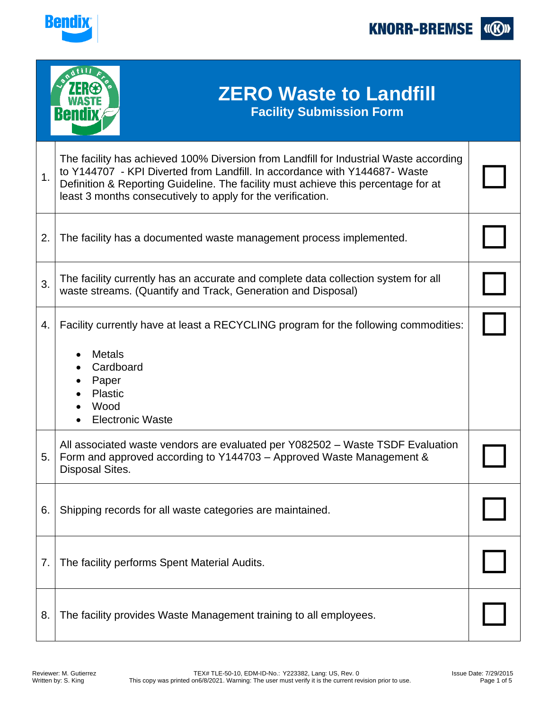

**KNORR-BREMSE I(K)** 

|    | <b>ZERO Waste to Landfill</b><br><b>Facility Submission Form</b><br><b>Bendix</b>                                                                                                                                                                                                                                        |  |
|----|--------------------------------------------------------------------------------------------------------------------------------------------------------------------------------------------------------------------------------------------------------------------------------------------------------------------------|--|
| 1. | The facility has achieved 100% Diversion from Landfill for Industrial Waste according<br>to Y144707 - KPI Diverted from Landfill. In accordance with Y144687- Waste<br>Definition & Reporting Guideline. The facility must achieve this percentage for at<br>least 3 months consecutively to apply for the verification. |  |
| 2. | The facility has a documented waste management process implemented.                                                                                                                                                                                                                                                      |  |
| 3. | The facility currently has an accurate and complete data collection system for all<br>waste streams. (Quantify and Track, Generation and Disposal)                                                                                                                                                                       |  |
| 4. | Facility currently have at least a RECYCLING program for the following commodities:<br><b>Metals</b><br>Cardboard<br>Paper<br>Plastic<br>Wood<br><b>Electronic Waste</b>                                                                                                                                                 |  |
| 5. | All associated waste vendors are evaluated per Y082502 - Waste TSDF Evaluation<br>Form and approved according to Y144703 – Approved Waste Management &<br>Disposal Sites.                                                                                                                                                |  |
| 6. | Shipping records for all waste categories are maintained.                                                                                                                                                                                                                                                                |  |
| 7. | The facility performs Spent Material Audits.                                                                                                                                                                                                                                                                             |  |
| 8. | The facility provides Waste Management training to all employees.                                                                                                                                                                                                                                                        |  |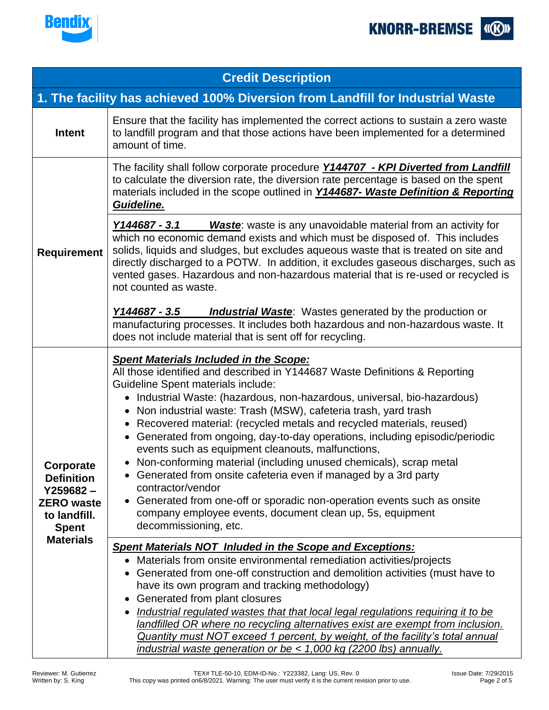



| <b>Credit Description</b>                                                                          |                                                                                                                                                                                                                                                                                                                                                                                                                                                                                                                                                                                                                                                                                                                                                                                                                                                                                                                      |  |
|----------------------------------------------------------------------------------------------------|----------------------------------------------------------------------------------------------------------------------------------------------------------------------------------------------------------------------------------------------------------------------------------------------------------------------------------------------------------------------------------------------------------------------------------------------------------------------------------------------------------------------------------------------------------------------------------------------------------------------------------------------------------------------------------------------------------------------------------------------------------------------------------------------------------------------------------------------------------------------------------------------------------------------|--|
| 1. The facility has achieved 100% Diversion from Landfill for Industrial Waste                     |                                                                                                                                                                                                                                                                                                                                                                                                                                                                                                                                                                                                                                                                                                                                                                                                                                                                                                                      |  |
| <b>Intent</b>                                                                                      | Ensure that the facility has implemented the correct actions to sustain a zero waste<br>to landfill program and that those actions have been implemented for a determined<br>amount of time.                                                                                                                                                                                                                                                                                                                                                                                                                                                                                                                                                                                                                                                                                                                         |  |
|                                                                                                    | The facility shall follow corporate procedure <b>Y144707</b> - <b>KPI Diverted from Landfill</b><br>to calculate the diversion rate, the diversion rate percentage is based on the spent<br>materials included in the scope outlined in <b>Y144687- Waste Definition &amp; Reporting</b><br>Guideline.                                                                                                                                                                                                                                                                                                                                                                                                                                                                                                                                                                                                               |  |
| <b>Requirement</b>                                                                                 | <b>Waste:</b> waste is any unavoidable material from an activity for<br>Y144687 - 3.1<br>which no economic demand exists and which must be disposed of. This includes<br>solids, liquids and sludges, but excludes aqueous waste that is treated on site and<br>directly discharged to a POTW. In addition, it excludes gaseous discharges, such as<br>vented gases. Hazardous and non-hazardous material that is re-used or recycled is<br>not counted as waste.                                                                                                                                                                                                                                                                                                                                                                                                                                                    |  |
|                                                                                                    | Y144687 - 3.5<br><b>Industrial Waste:</b> Wastes generated by the production or<br>manufacturing processes. It includes both hazardous and non-hazardous waste. It<br>does not include material that is sent off for recycling.                                                                                                                                                                                                                                                                                                                                                                                                                                                                                                                                                                                                                                                                                      |  |
| Corporate<br><b>Definition</b><br>$Y259682 -$<br><b>ZERO</b> waste<br>to landfill.<br><b>Spent</b> | <b>Spent Materials Included in the Scope:</b><br>All those identified and described in Y144687 Waste Definitions & Reporting<br><b>Guideline Spent materials include:</b><br>Industrial Waste: (hazardous, non-hazardous, universal, bio-hazardous)<br>$\bullet$<br>Non industrial waste: Trash (MSW), cafeteria trash, yard trash<br>Recovered material: (recycled metals and recycled materials, reused)<br>$\bullet$<br>Generated from ongoing, day-to-day operations, including episodic/periodic<br>$\bullet$<br>events such as equipment cleanouts, malfunctions,<br>• Non-conforming material (including unused chemicals), scrap metal<br>• Generated from onsite cafeteria even if managed by a 3rd party<br>contractor/vendor<br>Generated from one-off or sporadic non-operation events such as onsite<br>$\bullet$<br>company employee events, document clean up, 5s, equipment<br>decommissioning, etc. |  |
| <b>Materials</b>                                                                                   | <b>Spent Materials NOT Inluded in the Scope and Exceptions:</b><br>Materials from onsite environmental remediation activities/projects<br>$\bullet$<br>Generated from one-off construction and demolition activities (must have to<br>have its own program and tracking methodology)<br>Generated from plant closures<br>Industrial regulated wastes that that local legal regulations requiring it to be<br>٠<br>landfilled OR where no recycling alternatives exist are exempt from inclusion.<br>Quantity must NOT exceed 1 percent, by weight, of the facility's total annual<br>industrial waste generation or be < 1,000 kg (2200 lbs) annually.                                                                                                                                                                                                                                                               |  |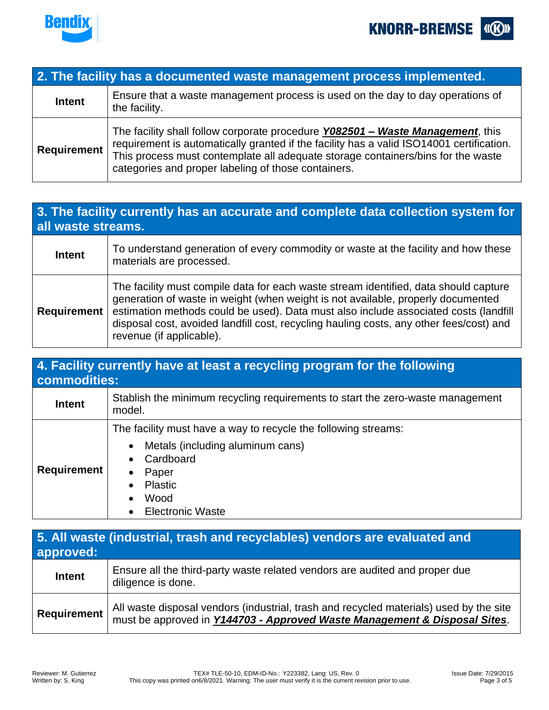



| 2. The facility has a documented waste management process implemented. |                                                                                                                                                                                                                                                                                                                       |  |
|------------------------------------------------------------------------|-----------------------------------------------------------------------------------------------------------------------------------------------------------------------------------------------------------------------------------------------------------------------------------------------------------------------|--|
| <b>Intent</b>                                                          | Ensure that a waste management process is used on the day to day operations of<br>the facility.                                                                                                                                                                                                                       |  |
| <b>Requirement</b>                                                     | The facility shall follow corporate procedure Y082501 - Waste Management, this<br>requirement is automatically granted if the facility has a valid ISO14001 certification.<br>This process must contemplate all adequate storage containers/bins for the waste<br>categories and proper labeling of those containers. |  |

## **3. The facility currently has an accurate and complete data collection system for all waste streams.**

| <b>Intent</b>      | To understand generation of every commodity or waste at the facility and how these<br>materials are processed.                                                                                                                                                                                                                                                                          |
|--------------------|-----------------------------------------------------------------------------------------------------------------------------------------------------------------------------------------------------------------------------------------------------------------------------------------------------------------------------------------------------------------------------------------|
| <b>Requirement</b> | The facility must compile data for each waste stream identified, data should capture<br>generation of waste in weight (when weight is not available, properly documented<br>estimation methods could be used). Data must also include associated costs (landfill<br>disposal cost, avoided landfill cost, recycling hauling costs, any other fees/cost) and<br>revenue (if applicable). |

| 4. Facility currently have at least a recycling program for the following<br>commodities: |                                                                                                                                                                               |  |
|-------------------------------------------------------------------------------------------|-------------------------------------------------------------------------------------------------------------------------------------------------------------------------------|--|
| <b>Intent</b>                                                                             | Stablish the minimum recycling requirements to start the zero-waste management<br>model.                                                                                      |  |
| <b>Requirement</b>                                                                        | The facility must have a way to recycle the following streams:<br>Metals (including aluminum cans)<br>Cardboard<br>Paper<br><b>Plastic</b><br>Wood<br><b>Electronic Waste</b> |  |

| 5. All waste (industrial, trash and recyclables) vendors are evaluated and<br>approved: |                                                                                                                                                                                 |  |
|-----------------------------------------------------------------------------------------|---------------------------------------------------------------------------------------------------------------------------------------------------------------------------------|--|
| Intent                                                                                  | Ensure all the third-party waste related vendors are audited and proper due<br>diligence is done.                                                                               |  |
| <b>Requirement</b>                                                                      | All waste disposal vendors (industrial, trash and recycled materials) used by the site<br>must be approved in <b>Y144703 - Approved Waste Management &amp; Disposal Sites</b> . |  |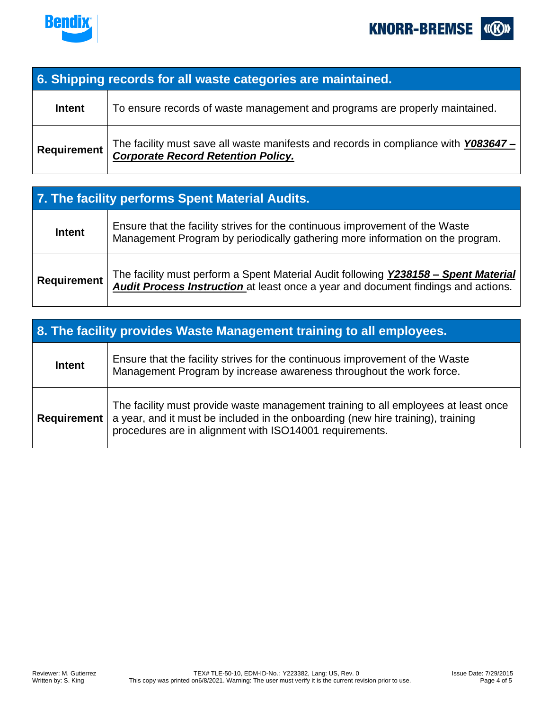



| 6. Shipping records for all waste categories are maintained. |                                                                                                                                 |  |
|--------------------------------------------------------------|---------------------------------------------------------------------------------------------------------------------------------|--|
| <b>Intent</b>                                                | To ensure records of waste management and programs are properly maintained.                                                     |  |
| Requirement                                                  | The facility must save all waste manifests and records in compliance with Y083647-<br><b>Corporate Record Retention Policy.</b> |  |

| 7. The facility performs Spent Material Audits. |                                                                                                                                                                          |  |
|-------------------------------------------------|--------------------------------------------------------------------------------------------------------------------------------------------------------------------------|--|
| <b>Intent</b>                                   | Ensure that the facility strives for the continuous improvement of the Waste<br>Management Program by periodically gathering more information on the program.            |  |
| <b>Requirement</b>                              | The facility must perform a Spent Material Audit following Y238158 - Spent Material<br>Audit Process Instruction at least once a year and document findings and actions. |  |

| 8. The facility provides Waste Management training to all employees. |                                                                                                                                                                                                                                  |  |
|----------------------------------------------------------------------|----------------------------------------------------------------------------------------------------------------------------------------------------------------------------------------------------------------------------------|--|
| <b>Intent</b>                                                        | Ensure that the facility strives for the continuous improvement of the Waste<br>Management Program by increase awareness throughout the work force.                                                                              |  |
| <b>Requirement</b>                                                   | The facility must provide waste management training to all employees at least once<br>a year, and it must be included in the onboarding (new hire training), training<br>procedures are in alignment with ISO14001 requirements. |  |